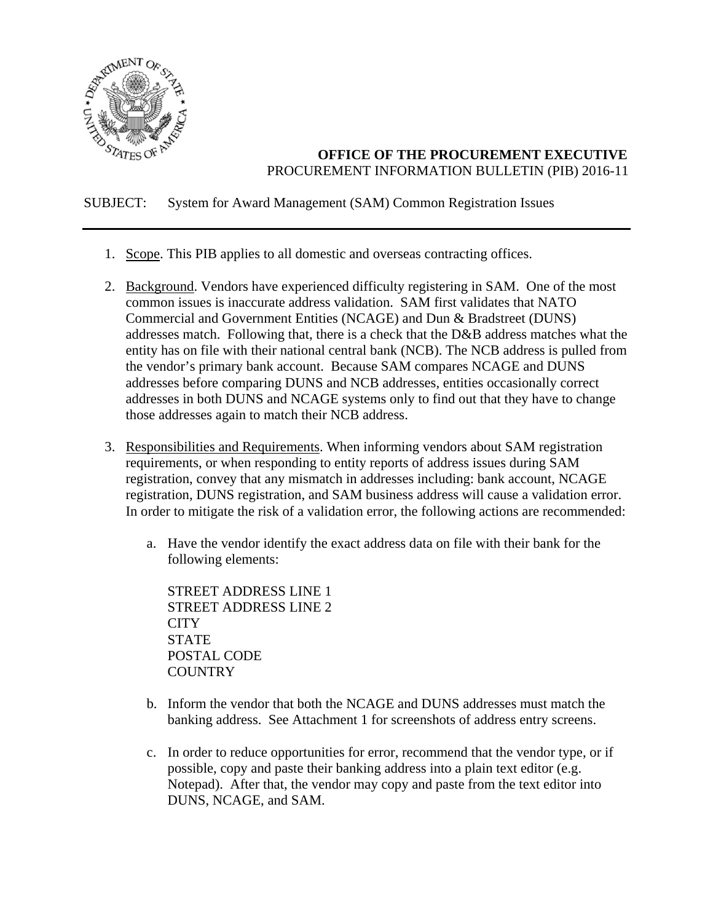

## **OFFICE OF THE PROCUREMENT EXECUTIVE**  PROCUREMENT INFORMATION BULLETIN (PIB) 2016-11

### SUBJECT: System for Award Management (SAM) Common Registration Issues

- 1. Scope. This PIB applies to all domestic and overseas contracting offices.
- 2. Background. Vendors have experienced difficulty registering in SAM. One of the most common issues is inaccurate address validation. SAM first validates that NATO Commercial and Government Entities (NCAGE) and Dun & Bradstreet (DUNS) addresses match. Following that, there is a check that the D&B address matches what the entity has on file with their national central bank (NCB). The NCB address is pulled from the vendor's primary bank account. Because SAM compares NCAGE and DUNS addresses before comparing DUNS and NCB addresses, entities occasionally correct addresses in both DUNS and NCAGE systems only to find out that they have to change those addresses again to match their NCB address.
- 3. Responsibilities and Requirements. When informing vendors about SAM registration requirements, or when responding to entity reports of address issues during SAM registration, convey that any mismatch in addresses including: bank account, NCAGE registration, DUNS registration, and SAM business address will cause a validation error. In order to mitigate the risk of a validation error, the following actions are recommended:
	- a. Have the vendor identify the exact address data on file with their bank for the following elements:

STREET ADDRESS LINE 1 STREET ADDRESS LINE 2 **CITY STATE** POSTAL CODE **COUNTRY** 

- b. Inform the vendor that both the NCAGE and DUNS addresses must match the banking address. See Attachment 1 for screenshots of address entry screens.
- c. In order to reduce opportunities for error, recommend that the vendor type, or if possible, copy and paste their banking address into a plain text editor (e.g. Notepad). After that, the vendor may copy and paste from the text editor into DUNS, NCAGE, and SAM.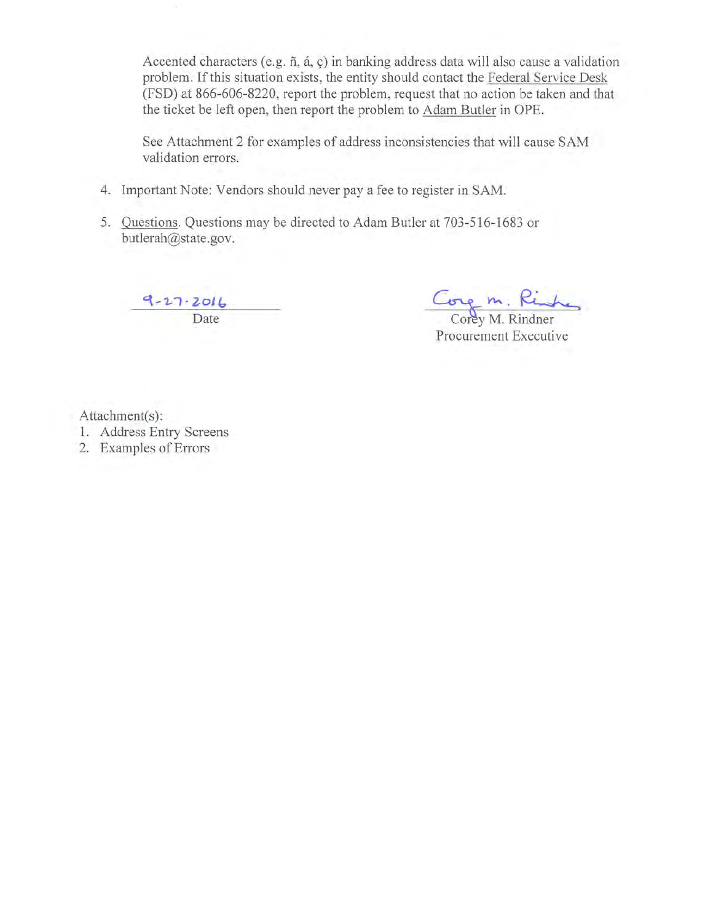Accented characters (e.g.  $\tilde{n}$ ,  $\acute{a}$ ,  $\dot{c}$ ) in banking address data will also cause a validation problem. If this situation exists, the entity should contact the Federal Service Desk (FSD) at 866-606-8220, report the problem, request that no action be taken and that the ticket be left open, then report the problem to Adam Butler in OPE.

See Attachment 2 for examples of address inconsistencies that will cause SAM validation errors.

- 4. Important Note: Vendors should never pay a fee to register in SAM.
- 5. Questions. Questions may be directed to Adam Butler at 703-516-1683 or butlerah@state.gov.

 $\frac{9-27-2016}{\text{Date}}$ 

Cong m. Rinha

Procurement Executive

Attachment(s):

- 1. Address Entry Screens
- 2. Examples of Errors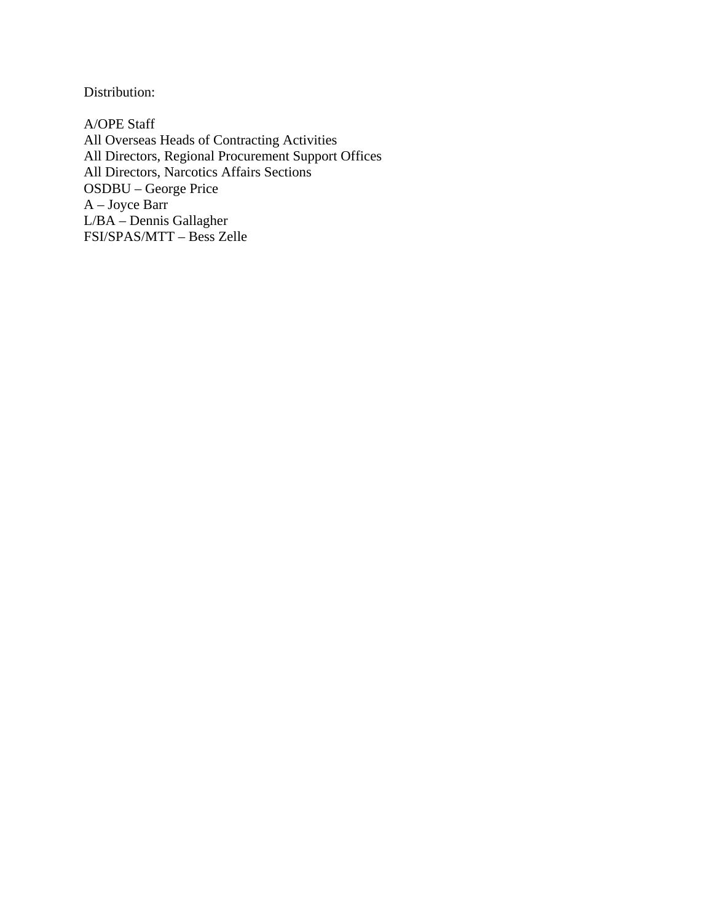Distribution:

A/OPE Staff All Overseas Heads of Contracting Activities All Directors, Regional Procurement Support Offices All Directors, Narcotics Affairs Sections OSDBU – George Price A – Joyce Barr L/BA – Dennis Gallagher FSI/SPAS/MTT – Bess Zelle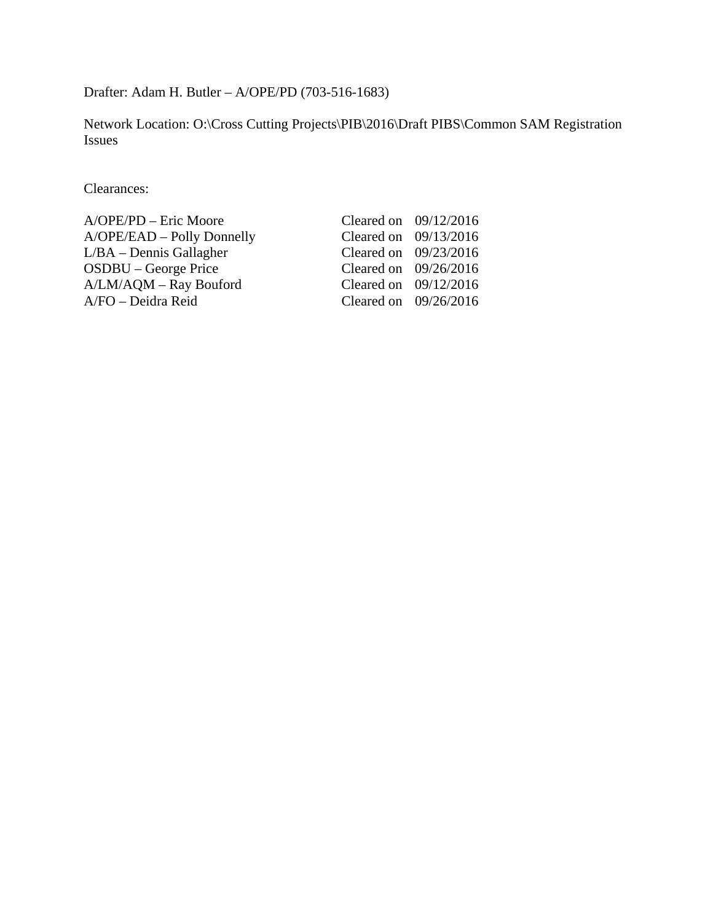Drafter: Adam H. Butler – A/OPE/PD (703-516-1683)

Network Location: O:\Cross Cutting Projects\PIB\2016\Draft PIBS\Common SAM Registration Issues

Clearances:

| A/OPE/PD – Eric Moore      | Cleared on $09/12/2016$ |  |
|----------------------------|-------------------------|--|
| A/OPE/EAD - Polly Donnelly | Cleared on $09/13/2016$ |  |
| $L/BA - Dennis$ Gallagher  | Cleared on $09/23/2016$ |  |
| OSDBU – George Price       | Cleared on $09/26/2016$ |  |
| A/LM/AQM - Ray Bouford     | Cleared on $09/12/2016$ |  |
| A/FO – Deidra Reid         | Cleared on $09/26/2016$ |  |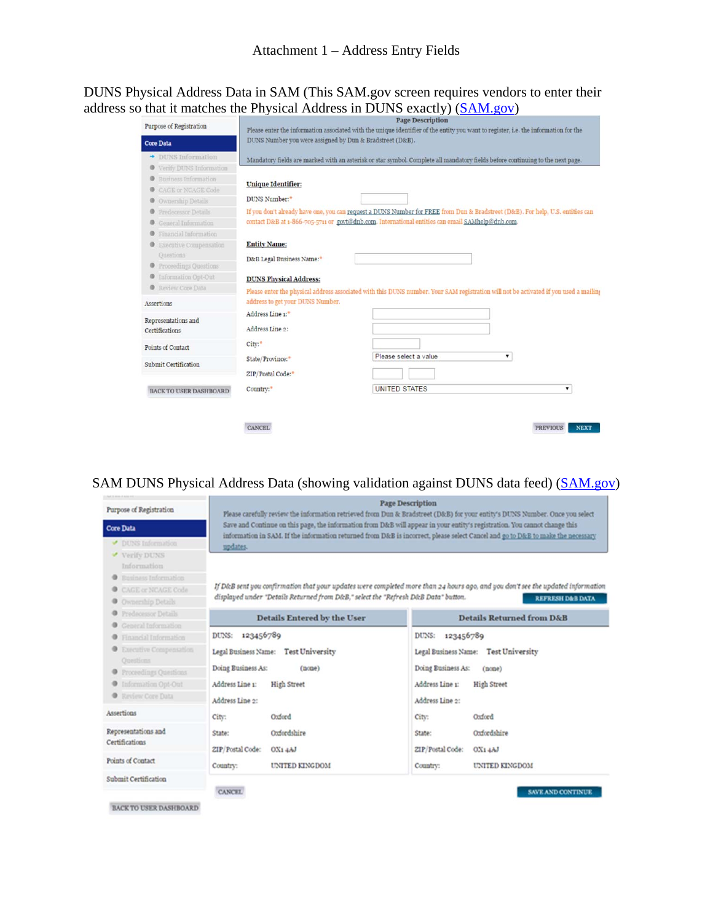DUNS Physical Address Data in SAM (This SAM.gov screen requires vendors to enter their address so that it matches the Physical Address in DUNS exactly) (SAM.gov)

| Purpose of Registration        |                                                          | Page Description<br>Please enter the information associated with the unique identifier of the entity you want to register, i.e. the information for the |  |  |
|--------------------------------|----------------------------------------------------------|---------------------------------------------------------------------------------------------------------------------------------------------------------|--|--|
| <b>Core Data</b>               | DUNS Number you were assigned by Dun & Bradstreet (D&B). |                                                                                                                                                         |  |  |
|                                |                                                          |                                                                                                                                                         |  |  |
| $\rightarrow$ DUNS Information |                                                          | Mandatory fields are marked with an asterisk or star symbol. Complete all mandatory fields before continuing to the next page.                          |  |  |
| Verify DUNS Information        |                                                          |                                                                                                                                                         |  |  |
| Business Information<br>⊕      | <b>Unique Identifier:</b>                                |                                                                                                                                                         |  |  |
| CAGE or NCAGE Code             |                                                          |                                                                                                                                                         |  |  |
| Ownership Details<br>۰         | DUNS Number: <sup>+</sup>                                |                                                                                                                                                         |  |  |
| Predecessor Details            |                                                          | If you don't already have one, you can request a DUNS Number for FREE from Dun & Bradstreet (D&B). For help, U.S. entities can                          |  |  |
| General Information            |                                                          | contact D&B at 1-866-705-5711 or govt@dnb.com. International entities can email SAMhelp@dnb.com.                                                        |  |  |
| Financial Information<br>Θ     |                                                          |                                                                                                                                                         |  |  |
| Executive Compensation         | <b>Entity Name:</b>                                      |                                                                                                                                                         |  |  |
| Questions                      | D&B Legal Business Name:*                                |                                                                                                                                                         |  |  |
| Proceedings Questions          |                                                          |                                                                                                                                                         |  |  |
| Information Opt-Out<br>Θ       | <b>DUNS Physical Address:</b>                            |                                                                                                                                                         |  |  |
| Review Core Data               |                                                          | Please enter the physical address associated with this DUNS number. Your SAM registration will not be activated if you used a mailing                   |  |  |
| Assertions                     | address to get your DUNS Number.                         |                                                                                                                                                         |  |  |
|                                | Address Line 1:*                                         |                                                                                                                                                         |  |  |
| Representations and            |                                                          |                                                                                                                                                         |  |  |
| Certifications                 | Address Line 2:                                          |                                                                                                                                                         |  |  |
| Points of Contact              | City: <sup>*</sup>                                       |                                                                                                                                                         |  |  |
|                                | State/Province:"                                         | Please select a value<br>۷.                                                                                                                             |  |  |
| Submit Certification           |                                                          |                                                                                                                                                         |  |  |
|                                | ZIP/Postal Code:"                                        |                                                                                                                                                         |  |  |
| <b>BACK TO USER DASHBOARD</b>  | Country:"                                                | <b>UNITED STATES</b>                                                                                                                                    |  |  |
|                                |                                                          |                                                                                                                                                         |  |  |
|                                | <b>CANCEL</b>                                            | <b>PREVIOUS</b><br><b>NEXT</b>                                                                                                                          |  |  |

# SAM DUNS Physical Address Data (showing validation against DUNS data feed) (SAM.gov)

| Purpose of Registration       | <b>Page Description</b><br>Please carefully review the information retrieved from Dun & Bradstreet (D&B) for your entity's DUNS Number. Once you select<br>Save and Continue on this page, the information from D&B will appear in your entity's registration. You cannot change this<br>information in SAM. If the information returned from D&B is incorrect, please select Cancel and go to D&B to make the necessary |                                                |  |  |
|-------------------------------|--------------------------------------------------------------------------------------------------------------------------------------------------------------------------------------------------------------------------------------------------------------------------------------------------------------------------------------------------------------------------------------------------------------------------|------------------------------------------------|--|--|
| Core Data                     |                                                                                                                                                                                                                                                                                                                                                                                                                          |                                                |  |  |
| DUNS Information              | updates.                                                                                                                                                                                                                                                                                                                                                                                                                 |                                                |  |  |
| Verify DUNS<br>Information    |                                                                                                                                                                                                                                                                                                                                                                                                                          |                                                |  |  |
| Business Information          |                                                                                                                                                                                                                                                                                                                                                                                                                          |                                                |  |  |
| CAGE or NCAGE Code            | If D&B sent you confirmation that your updates were completed more than 24 hours ago, and you don't see the updated information<br>displayed under "Details Returned from D&B," select the "Refresh D&B Data" button.<br><b>REFRESH D&amp;B DATA</b>                                                                                                                                                                     |                                                |  |  |
| Ownership Details<br>۰        |                                                                                                                                                                                                                                                                                                                                                                                                                          |                                                |  |  |
| Predecessor Details<br>۰      |                                                                                                                                                                                                                                                                                                                                                                                                                          |                                                |  |  |
| General Information           | <b>Details Entered by the User</b>                                                                                                                                                                                                                                                                                                                                                                                       | Details Returned from D&B                      |  |  |
| Financial Information         | DUNS:<br>123456789                                                                                                                                                                                                                                                                                                                                                                                                       | DUNS:<br>123456789                             |  |  |
| Executive Compensation        | Legal Business Name:<br><b>Test University</b>                                                                                                                                                                                                                                                                                                                                                                           | Legal Business Name:<br><b>Test University</b> |  |  |
| Opestions.                    |                                                                                                                                                                                                                                                                                                                                                                                                                          |                                                |  |  |
| Proceedings Questions         | Doing Business As:<br>(none)                                                                                                                                                                                                                                                                                                                                                                                             | Doing Business As:<br>$(n$ cae $)$             |  |  |
| Information Opt-Out           | Address Line 1:<br><b>High Street</b>                                                                                                                                                                                                                                                                                                                                                                                    | Address Line 1:<br><b>High Street</b>          |  |  |
| Review Core Data<br>۰         | Address Line 2:                                                                                                                                                                                                                                                                                                                                                                                                          | Address Line 2:                                |  |  |
| Assertions                    | Oxford<br>City:                                                                                                                                                                                                                                                                                                                                                                                                          | Oxford<br>City:                                |  |  |
| Representations and           | Oxfordshire<br>State:                                                                                                                                                                                                                                                                                                                                                                                                    | Oxfordshire<br>State:                          |  |  |
| Certifications                |                                                                                                                                                                                                                                                                                                                                                                                                                          |                                                |  |  |
| Points of Contact             | ZIP/Postal Code:<br>OX14AJ                                                                                                                                                                                                                                                                                                                                                                                               | ZIP/Postal Code:<br>OX14AJ                     |  |  |
|                               | UNITED KINGDOM<br>Country:                                                                                                                                                                                                                                                                                                                                                                                               | UNITED KINGDOM<br>Country:                     |  |  |
| Submit Certification          |                                                                                                                                                                                                                                                                                                                                                                                                                          |                                                |  |  |
|                               | <b>CANCEL</b>                                                                                                                                                                                                                                                                                                                                                                                                            | <b>SAVE AND CONTINUE</b>                       |  |  |
| <b>BACK TO USER DASHBOARD</b> |                                                                                                                                                                                                                                                                                                                                                                                                                          |                                                |  |  |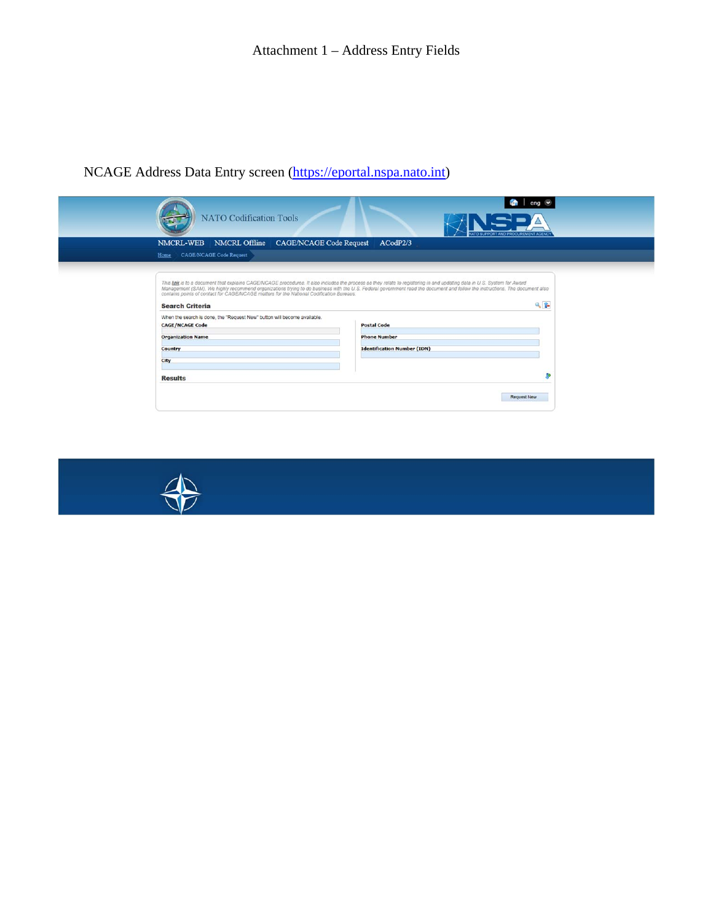# NCAGE Address Data Entry screen (https://eportal.nspa.nato.int)

|                                                                                                                                                                                                                                                                                                | eng $\vee$                                                                                                                                                                         |
|------------------------------------------------------------------------------------------------------------------------------------------------------------------------------------------------------------------------------------------------------------------------------------------------|------------------------------------------------------------------------------------------------------------------------------------------------------------------------------------|
| <b>NATO Codification Tools</b>                                                                                                                                                                                                                                                                 | <b>VATO SUPPORT AND PROCUREMENT AGENCY</b>                                                                                                                                         |
| NMCRL Offline CAGE/NCAGE Code Request<br>NMCRL-WEB                                                                                                                                                                                                                                             | ACodP2/3                                                                                                                                                                           |
| <b>CAGE/NCAGE Code Request</b><br>Home                                                                                                                                                                                                                                                         |                                                                                                                                                                                    |
|                                                                                                                                                                                                                                                                                                |                                                                                                                                                                                    |
| This link is to a document that explains CAGE/NCAGE procedures. It also includes the process as they relate to registering in and updating data in U.S. System for Award<br>contains points of contact for CAGE/NCAGE matters for the National Codification Bureaus.<br><b>Search Criteria</b> | Management (SAM). We highly recommend organizations trying to do business with the U.S. Federal government read the document and follow the instructions. The document also<br>9.1 |
| When the search is done, the "Request New" button will become available.                                                                                                                                                                                                                       |                                                                                                                                                                                    |
| <b>CAGE/NCAGE Code</b>                                                                                                                                                                                                                                                                         | <b>Postal Code</b>                                                                                                                                                                 |
| <b>Organization Name</b>                                                                                                                                                                                                                                                                       | <b>Phone Number</b>                                                                                                                                                                |
| Country                                                                                                                                                                                                                                                                                        | <b>Identification Number (IDN)</b>                                                                                                                                                 |
| City                                                                                                                                                                                                                                                                                           |                                                                                                                                                                                    |
| <b>Results</b>                                                                                                                                                                                                                                                                                 |                                                                                                                                                                                    |
|                                                                                                                                                                                                                                                                                                | Request New                                                                                                                                                                        |

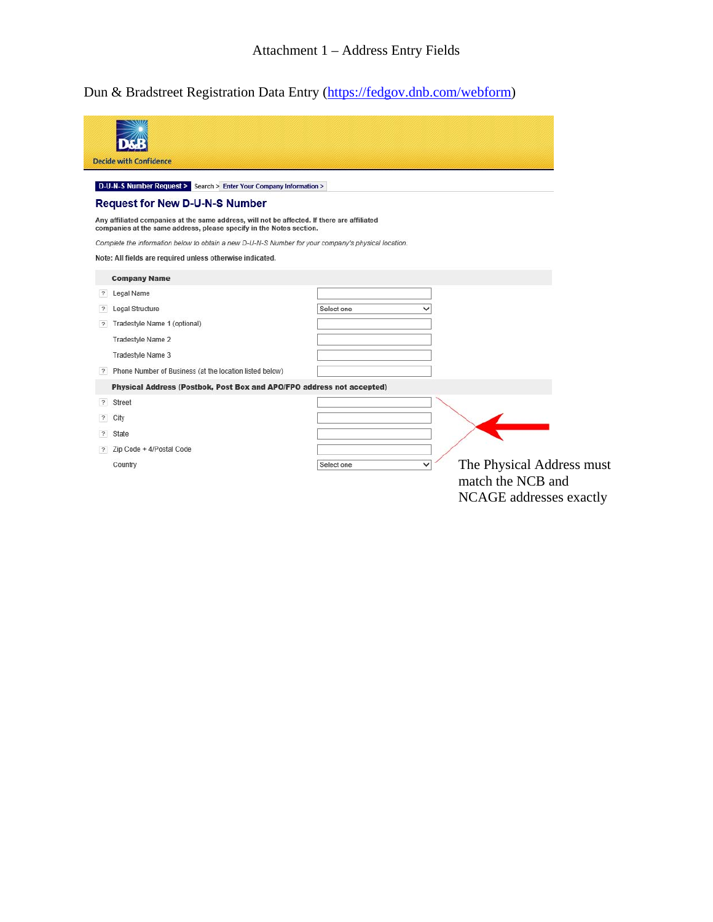Dun & Bradstreet Registration Data Entry (https://fedgov.dnb.com/webform)

|                         | <b>Decide with Confidence</b><br>D-U-N-S Number Request > Search > Enter Your Company Information >                                                                        |            |                                                                                          |
|-------------------------|----------------------------------------------------------------------------------------------------------------------------------------------------------------------------|------------|------------------------------------------------------------------------------------------|
|                         | <b>Request for New D-U-N-S Number</b>                                                                                                                                      |            |                                                                                          |
|                         | Any affiliated companies at the same address, will not be affected. If there are affiliated                                                                                |            |                                                                                          |
|                         | companies at the same address, please specify in the Notes section.<br>Complete the information below to obtain a new D-U-N-S Number for your company's physical location. |            |                                                                                          |
|                         | Note: All fields are required unless otherwise indicated.                                                                                                                  |            |                                                                                          |
|                         | <b>Company Name</b>                                                                                                                                                        |            |                                                                                          |
| $\overline{2}$          | Legal Name                                                                                                                                                                 |            |                                                                                          |
| $\overline{?}$          | Legal Structure                                                                                                                                                            | Select one | $\check{ }$                                                                              |
| $\overline{?}$          | Tradestyle Name 1 (optional)                                                                                                                                               |            |                                                                                          |
|                         | <b>Tradestyle Name 2</b>                                                                                                                                                   |            |                                                                                          |
|                         | Tradestyle Name 3                                                                                                                                                          |            |                                                                                          |
| $\overline{?}$          | Phone Number of Business (at the location listed below)                                                                                                                    |            |                                                                                          |
|                         | Physical Address (Postbok, Post Box and APO/FPO address not accepted)                                                                                                      |            |                                                                                          |
| $\overline{?}$          | Street                                                                                                                                                                     |            |                                                                                          |
| $\overline{\mathbf{z}}$ | City                                                                                                                                                                       |            |                                                                                          |
| $\overline{?}$          | State                                                                                                                                                                      |            |                                                                                          |
| $\overline{?}$          | Zip Code + 4/Postal Code                                                                                                                                                   |            |                                                                                          |
|                         | Country                                                                                                                                                                    | Select one | The Physical Address must<br>$\check{ }$<br>match the NCB and<br>NCAGE addresses exactly |